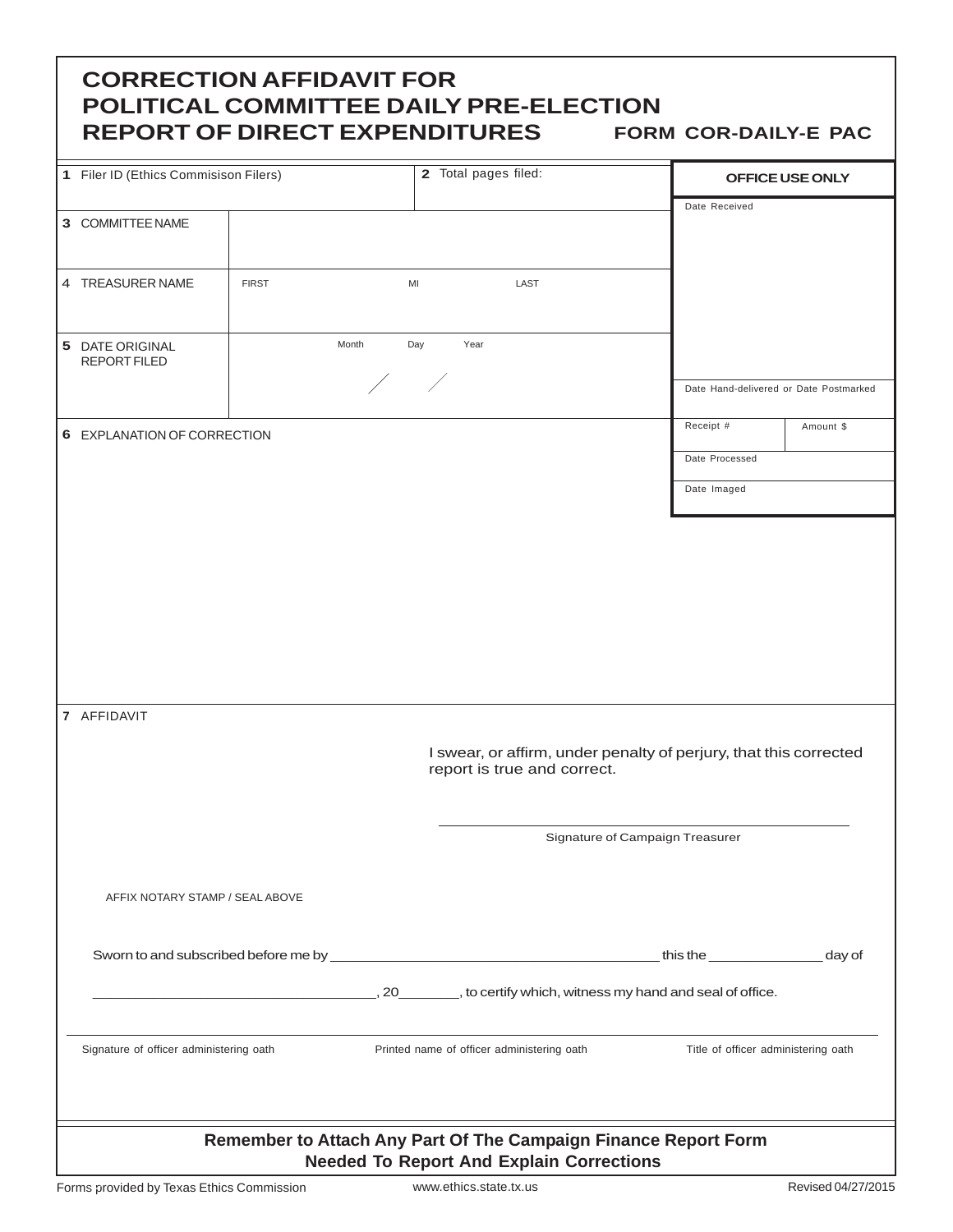| <b>CORRECTION AFFIDAVIT FOR</b><br><b>POLITICAL COMMITTEE DAILY PRE-ELECTION</b><br><b>REPORT OF DIRECT EXPENDITURES</b><br><b>FORM COR-DAILY-E PAC</b> |              |                                            |                                                                                                  |                                     |                                        |           |  |
|---------------------------------------------------------------------------------------------------------------------------------------------------------|--------------|--------------------------------------------|--------------------------------------------------------------------------------------------------|-------------------------------------|----------------------------------------|-----------|--|
| 1 Filer ID (Ethics Commisison Filers)                                                                                                                   |              |                                            | 2 Total pages filed:                                                                             |                                     | OFFICE USE ONLY                        |           |  |
| 3 COMMITTEE NAME                                                                                                                                        |              |                                            |                                                                                                  |                                     | Date Received                          |           |  |
| 4 TREASURER NAME                                                                                                                                        | <b>FIRST</b> | MI                                         | LAST                                                                                             |                                     |                                        |           |  |
| Month<br>5 DATE ORIGINAL<br><b>REPORT FILED</b>                                                                                                         |              | Year<br>Day<br>$\overline{\phantom{a}}$    |                                                                                                  |                                     |                                        |           |  |
|                                                                                                                                                         |              |                                            |                                                                                                  |                                     | Date Hand-delivered or Date Postmarked |           |  |
| 6 EXPLANATION OF CORRECTION                                                                                                                             |              |                                            |                                                                                                  |                                     | Receipt #                              | Amount \$ |  |
|                                                                                                                                                         |              |                                            |                                                                                                  |                                     | Date Processed                         |           |  |
|                                                                                                                                                         |              |                                            |                                                                                                  |                                     | Date Imaged                            |           |  |
| 7 AFFIDAVIT                                                                                                                                             |              |                                            | I swear, or affirm, under penalty of perjury, that this corrected<br>report is true and correct. |                                     |                                        |           |  |
|                                                                                                                                                         |              |                                            | Signature of Campaign Treasurer                                                                  |                                     |                                        |           |  |
| AFFIX NOTARY STAMP / SEAL ABOVE                                                                                                                         |              |                                            |                                                                                                  |                                     |                                        |           |  |
|                                                                                                                                                         |              |                                            |                                                                                                  |                                     | this the $\qquad \qquad$               | day of    |  |
|                                                                                                                                                         |              |                                            | ., 20__________, to certify which, witness my hand and seal of office.                           |                                     |                                        |           |  |
| Signature of officer administering oath                                                                                                                 |              | Printed name of officer administering oath |                                                                                                  | Title of officer administering oath |                                        |           |  |
| Remember to Attach Any Part Of The Campaign Finance Report Form<br><b>Needed To Report And Explain Corrections</b>                                      |              |                                            |                                                                                                  |                                     |                                        |           |  |